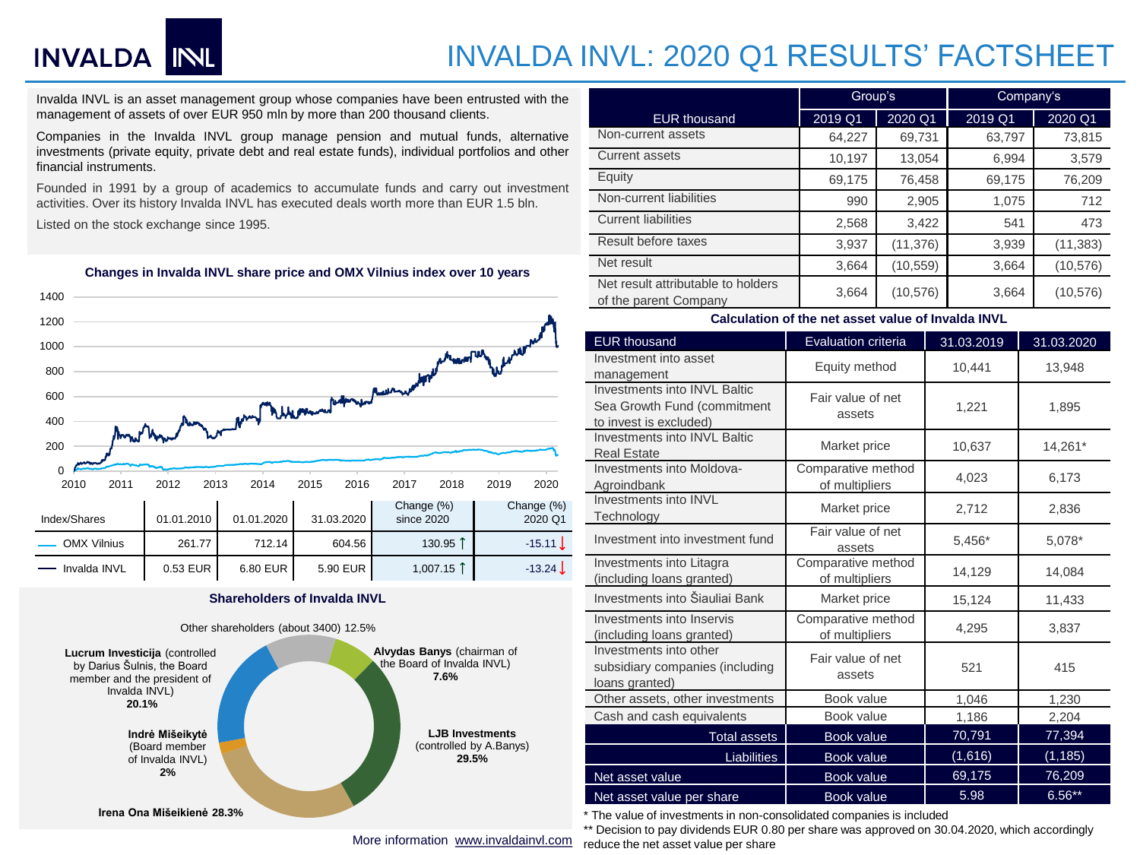# INVALDA NL

## INVALDA INVL: 2020 Q1 RESULTS' FACTSHEET

Invalda INVL is an asset management group whose companies have been entrusted with the management of assets of over EUR 950 mln by more than 200 thousand clients.

Companies in the Invalda INVL group manage pension and mutual funds, alternative investments (private equity, private debt and real estate funds), individual portfolios and other financial instruments.

Founded in 1991 by a group of academics to accumulate funds and carry out investment activities. Over its history Invalda INVL has executed deals worth more than EUR 1.5 bln.

Listed on the stock exchange since 1995.



### **Changes in Invalda INVL share price and OMX Vilnius index over 10 years**

#### **Shareholders of Invalda INVL**



|                                                             | Group's |           | Company's |           |  |
|-------------------------------------------------------------|---------|-----------|-----------|-----------|--|
| <b>EUR thousand</b>                                         | 2019 Q1 | 2020 Q1   | 2019 Q1   | 2020 Q1   |  |
| Non-current assets                                          | 64,227  | 69,731    | 63,797    | 73,815    |  |
| Current assets                                              | 10,197  | 13,054    | 6,994     | 3,579     |  |
| Equity                                                      | 69,175  | 76,458    | 69,175    | 76,209    |  |
| Non-current liabilities                                     | 990     | 2,905     | 1,075     | 712       |  |
| <b>Current liabilities</b>                                  | 2,568   | 3,422     | 541       | 473       |  |
| Result before taxes                                         | 3,937   | (11, 376) | 3,939     | (11, 383) |  |
| Net result                                                  | 3,664   | (10, 559) | 3,664     | (10, 576) |  |
| Net result attributable to holders<br>of the parent Company | 3,664   | (10, 576) | 3,664     | (10, 576) |  |

#### **Calculation of the net asset value of Invalda INVL**

| <b>EUR thousand</b>                                                                   | Evaluation criteria                  | 31.03.2019 | 31.03.2020 |  |  |
|---------------------------------------------------------------------------------------|--------------------------------------|------------|------------|--|--|
| Investment into asset<br>management                                                   | Equity method                        | 10,441     | 13,948     |  |  |
| Investments into INVL Baltic<br>Sea Growth Fund (commitment<br>to invest is excluded) | Fair value of net<br>assets          | 1,221      | 1,895      |  |  |
| Investments into INVL Baltic<br><b>Real Estate</b>                                    | Market price                         | 10,637     | 14,261*    |  |  |
| Investments into Moldova-<br>Agroindbank                                              | Comparative method<br>of multipliers | 4,023      | 6,173      |  |  |
| Investments into INVL<br>Technology                                                   | Market price                         | 2,712      | 2,836      |  |  |
| Investment into investment fund                                                       | Fair value of net<br>assets          | $5,456*$   | 5,078*     |  |  |
| Investments into Litagra<br>(including loans granted)                                 | Comparative method<br>of multipliers | 14,129     | 14,084     |  |  |
| Investments into Šiauliai Bank                                                        | Market price                         | 15,124     | 11,433     |  |  |
| Investments into Inservis<br>(including loans granted)                                | Comparative method<br>of multipliers | 4,295      | 3,837      |  |  |
| Investments into other<br>subsidiary companies (including<br>loans granted)           | Fair value of net<br>assets          | 521        | 415        |  |  |
| Other assets, other investments                                                       | Book value                           | 1,046      | 1,230      |  |  |
| Cash and cash equivalents                                                             | Book value                           | 1,186      | 2,204      |  |  |
| <b>Total assets</b>                                                                   | Book value                           | 70,791     | 77,394     |  |  |
| <b>Liabilities</b>                                                                    | <b>Book value</b>                    | (1,616)    | (1, 185)   |  |  |
| Net asset value                                                                       | Book value                           | 69,175     | 76,209     |  |  |
| Net asset value per share                                                             | <b>Book value</b>                    | 5.98       | $6.56**$   |  |  |

\* The value of investments in non-consolidated companies is included

\*\* Decision to pay dividends EUR 0.80 per share was approved on 30.04.2020, which accordingly reduce the net asset value per share

More information [www.invaldainvl.com](http://www.invaldainvl.com/)